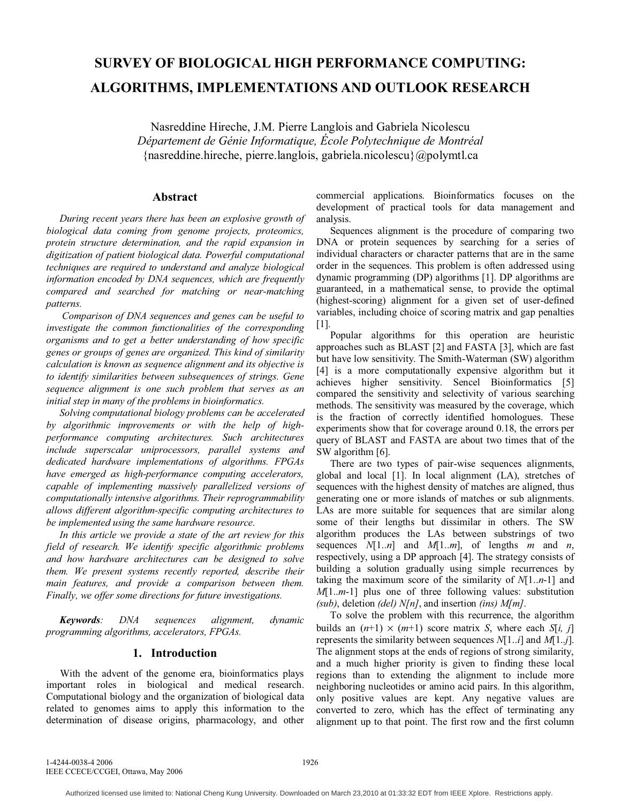# **SURVEY OF BIOLOGICAL HIGH PERFORMANCE COMPUTING: ALGORITHMS, IMPLEMENTATIONS AND OUTLOOK RESEARCH**

Nasreddine Hireche, J.M. Pierre Langlois and Gabriela Nicolescu *Département de Génie Informatique, École Polytechnique de Montréal*  {nasreddine.hireche, pierre.langlois, gabriela.nicolescu}@polymtl.ca

## **Abstract**

*During recent years there has been an explosive growth of biological data coming from genome projects, proteomics, protein structure determination, and the rapid expansion in digitization of patient biological data. Powerful computational techniques are required to understand and analyze biological information encoded by DNA sequences, which are frequently compared and searched for matching or near-matching patterns.*

 *Comparison of DNA sequences and genes can be useful to investigate the common functionalities of the corresponding organisms and to get a better understanding of how specific genes or groups of genes are organized. This kind of similarity calculation is known as sequence alignment and its objective is to identify similarities between subsequences of strings. Gene sequence alignment is one such problem that serves as an initial step in many of the problems in bioinformatics.* 

*Solving computational biology problems can be accelerated by algorithmic improvements or with the help of highperformance computing architectures. Such architectures include superscalar uniprocessors, parallel systems and dedicated hardware implementations of algorithms. FPGAs have emerged as high-performance computing accelerators, capable of implementing massively parallelized versions of computationally intensive algorithms. Their reprogrammability allows different algorithm-specific computing architectures to be implemented using the same hardware resource.* 

*In this article we provide a state of the art review for this field of research. We identify specific algorithmic problems and how hardware architectures can be designed to solve them. We present systems recently reported, describe their main features, and provide a comparison between them. Finally, we offer some directions for future investigations.* 

*Keywords: DNA sequences alignment, dynamic programming algorithms, accelerators, FPGAs.* 

## **1. Introduction**

With the advent of the genome era, bioinformatics plays important roles in biological and medical research. Computational biology and the organization of biological data related to genomes aims to apply this information to the determination of disease origins, pharmacology, and other

commercial applications. Bioinformatics focuses on the development of practical tools for data management and analysis.

Sequences alignment is the procedure of comparing two DNA or protein sequences by searching for a series of individual characters or character patterns that are in the same order in the sequences. This problem is often addressed using dynamic programming (DP) algorithms [1]. DP algorithms are guaranteed, in a mathematical sense, to provide the optimal (highest-scoring) alignment for a given set of user-defined variables, including choice of scoring matrix and gap penalties [1].

Popular algorithms for this operation are heuristic approaches such as BLAST [2] and FASTA [3], which are fast but have low sensitivity. The Smith-Waterman (SW) algorithm [4] is a more computationally expensive algorithm but it achieves higher sensitivity. Sencel Bioinformatics [5] compared the sensitivity and selectivity of various searching methods. The sensitivity was measured by the coverage, which is the fraction of correctly identified homologues. These experiments show that for coverage around 0.18, the errors per query of BLAST and FASTA are about two times that of the SW algorithm [6].

There are two types of pair-wise sequences alignments, global and local [1]. In local alignment (LA), stretches of sequences with the highest density of matches are aligned, thus generating one or more islands of matches or sub alignments. LAs are more suitable for sequences that are similar along some of their lengths but dissimilar in others. The SW algorithm produces the LAs between substrings of two sequences  $N[1..n]$  and  $M[1..m]$ , of lengths *m* and *n*, respectively, using a DP approach [4]. The strategy consists of building a solution gradually using simple recurrences by taking the maximum score of the similarity of *N*[1..*n*-1] and *M*[1..*m*-1] plus one of three following values: substitution *(sub)*, deletion *(del) N[n]*, and insertion *(ins) M[m]*.

To solve the problem with this recurrence, the algorithm builds an  $(n+1) \times (m+1)$  score matrix *S*, where each *S*[*i*, *j*] represents the similarity between sequences *N*[1..*i*] and *M*[1..*j*]. The alignment stops at the ends of regions of strong similarity, and a much higher priority is given to finding these local regions than to extending the alignment to include more neighboring nucleotides or amino acid pairs. In this algorithm, only positive values are kept. Any negative values are converted to zero, which has the effect of terminating any alignment up to that point. The first row and the first column

1-4244-0038-4 2006 IEEE CCECE/CCGEI, Ottawa, May 2006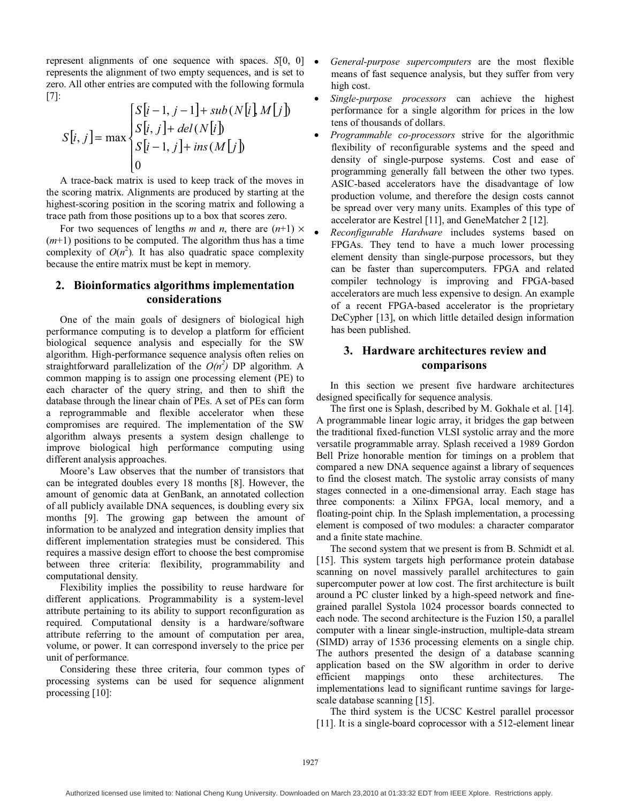represent alignments of one sequence with spaces. *S*[0, 0] represents the alignment of two empty sequences, and is set to zero. All other entries are computed with the following formula [7]:

$$
S[i, j] = \max \begin{cases} S[i-1, j-1] + sub(N[i], M[j]) \\ S[i, j] + del(N[i]) \\ S[i-1, j] + ins(M[j]) \\ 0 \end{cases}
$$

A trace-back matrix is used to keep track of the moves in the scoring matrix. Alignments are produced by starting at the highest-scoring position in the scoring matrix and following a trace path from those positions up to a box that scores zero.

For two sequences of lengths *m* and *n*, there are  $(n+1) \times$  $(m+1)$  positions to be computed. The algorithm thus has a time complexity of  $O(n^2)$ . It has also quadratic space complexity because the entire matrix must be kept in memory.

# **2. Bioinformatics algorithms implementation considerations**

One of the main goals of designers of biological high performance computing is to develop a platform for efficient biological sequence analysis and especially for the SW algorithm. High-performance sequence analysis often relies on straightforward parallelization of the  $O(n^2)$  DP algorithm. A common mapping is to assign one processing element (PE) to each character of the query string, and then to shift the database through the linear chain of PEs. A set of PEs can form a reprogrammable and flexible accelerator when these compromises are required. The implementation of the SW algorithm always presents a system design challenge to improve biological high performance computing using different analysis approaches.

Moore's Law observes that the number of transistors that can be integrated doubles every 18 months [8]. However, the amount of genomic data at GenBank, an annotated collection of all publicly available DNA sequences, is doubling every six months [9]. The growing gap between the amount of information to be analyzed and integration density implies that different implementation strategies must be considered. This requires a massive design effort to choose the best compromise between three criteria: flexibility, programmability and computational density.

Flexibility implies the possibility to reuse hardware for different applications. Programmability is a system-level attribute pertaining to its ability to support reconfiguration as required. Computational density is a hardware/software attribute referring to the amount of computation per area, volume, or power. It can correspond inversely to the price per unit of performance.

Considering these three criteria, four common types of processing systems can be used for sequence alignment processing [10]:

- *General-purpose supercomputers* are the most flexible means of fast sequence analysis, but they suffer from very high cost.
- *Single-purpose processors* can achieve the highest performance for a single algorithm for prices in the low tens of thousands of dollars.
- *Programmable co-processors* strive for the algorithmic flexibility of reconfigurable systems and the speed and density of single-purpose systems. Cost and ease of programming generally fall between the other two types. ASIC-based accelerators have the disadvantage of low production volume, and therefore the design costs cannot be spread over very many units. Examples of this type of accelerator are Kestrel [11], and GeneMatcher 2 [12].
- *Reconfigurable Hardware* includes systems based on FPGAs. They tend to have a much lower processing element density than single-purpose processors, but they can be faster than supercomputers. FPGA and related compiler technology is improving and FPGA-based accelerators are much less expensive to design. An example of a recent FPGA-based accelerator is the proprietary DeCypher [13], on which little detailed design information has been published.

## **3. Hardware architectures review and comparisons**

In this section we present five hardware architectures designed specifically for sequence analysis.

The first one is Splash, described by M. Gokhale et al. [14]. A programmable linear logic array, it bridges the gap between the traditional fixed-function VLSI systolic array and the more versatile programmable array. Splash received a 1989 Gordon Bell Prize honorable mention for timings on a problem that compared a new DNA sequence against a library of sequences to find the closest match. The systolic array consists of many stages connected in a one-dimensional array. Each stage has three components: a Xilinx FPGA, local memory, and a floating-point chip. In the Splash implementation, a processing element is composed of two modules: a character comparator and a finite state machine.

The second system that we present is from B. Schmidt et al. [15]. This system targets high performance protein database scanning on novel massively parallel architectures to gain supercomputer power at low cost. The first architecture is built around a PC cluster linked by a high-speed network and finegrained parallel Systola 1024 processor boards connected to each node. The second architecture is the Fuzion 150, a parallel computer with a linear single-instruction, multiple-data stream (SIMD) array of 1536 processing elements on a single chip. The authors presented the design of a database scanning application based on the SW algorithm in order to derive efficient mappings onto these architectures. The implementations lead to significant runtime savings for largescale database scanning [15].

The third system is the UCSC Kestrel parallel processor [11]. It is a single-board coprocessor with a 512-element linear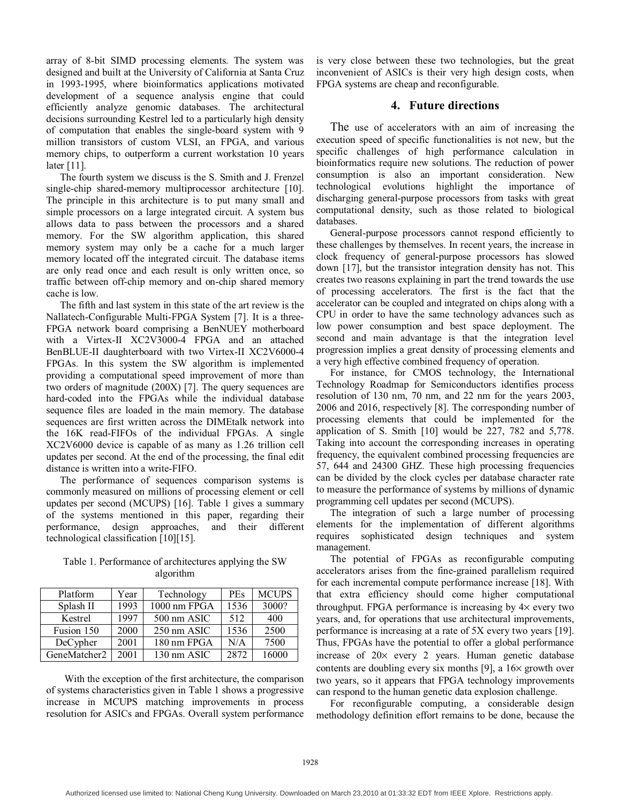array of 8-bit SIMD processing elements. The system was designed and built at the University of California at Santa Cruz in 1993-1995, where bioinformatics applications motivated development of a sequence analysis engine that could efficiently analyze genomic databases. The architectural decisions surrounding Kestrel led to a particularly high density of computation that enables the single-board system with 9 million transistors of custom VLSI, an FPGA, and various memory chips, to outperform a current workstation 10 years later [11].

The fourth system we discuss is the S. Smith and J. Frenzel single-chip shared-memory multiprocessor architecture [10]. The principle in this architecture is to put many small and simple processors on a large integrated circuit. A system bus allows data to pass between the processors and a shared memory. For the SW algorithm application, this shared memory system may only be a cache for a much larger memory located off the integrated circuit. The database items are only read once and each result is only written once, so traffic between off-chip memory and on-chip shared memory cache is low.

The fifth and last system in this state of the art review is the Nallatech-Configurable Multi-FPGA System [7]. It is a three-FPGA network board comprising a BenNUEY motherboard with a Virtex-II XC2V3000-4 FPGA and an attached BenBLUE-II daughterboard with two Virtex-II XC2V6000-4 FPGAs. In this system the SW algorithm is implemented providing a computational speed improvement of more than two orders of magnitude (200X) [7]. The query sequences are hard-coded into the FPGAs while the individual database sequence files are loaded in the main memory. The database sequences are first written across the DIMEtalk network into the 16K read-FIFOs of the individual FPGAs. A single XC2V6000 device is capable of as many as 1.26 trillion cell updates per second. At the end of the processing, the final edit distance is written into a write-FIFO.

The performance of sequences comparison systems is commonly measured on millions of processing element or cell updates per second (MCUPS) [16]. Table 1 gives a summary of the systems mentioned in this paper, regarding their performance, design approaches, and their different technological classification [10][15].

Table 1. Performance of architectures applying the SW algorithm

| Platform     | Year | Technology   | <b>PEs</b> | <b>MCUPS</b> |
|--------------|------|--------------|------------|--------------|
| Splash II    | 1993 | 1000 nm FPGA | 1536       | 3000?        |
| Kestrel      | 1997 | 500 nm ASIC  | 512        | 400          |
| Fusion 150   | 2000 | 250 nm ASIC  | 1536       | 2500         |
| DeCypher     | 2001 | 180 nm FPGA  | N/A        | 7500         |
| GeneMatcher2 | 2001 | 130 nm ASIC  | 2872       | 16000        |

With the exception of the first architecture, the comparison of systems characteristics given in Table 1 shows a progressive increase in MCUPS matching improvements in process resolution for ASICs and FPGAs. Overall system performance is very close between these two technologies, but the great inconvenient of ASICs is their very high design costs, when FPGA systems are cheap and reconfigurable.

# **4. Future directions**

The use of accelerators with an aim of increasing the execution speed of specific functionalities is not new, but the specific challenges of high performance calculation in bioinformatics require new solutions. The reduction of power consumption is also an important consideration. New technological evolutions highlight the importance of discharging general-purpose processors from tasks with great computational density, such as those related to biological databases.

General-purpose processors cannot respond efficiently to these challenges by themselves. In recent years, the increase in clock frequency of general-purpose processors has slowed down [17], but the transistor integration density has not. This creates two reasons explaining in part the trend towards the use of processing accelerators. The first is the fact that the accelerator can be coupled and integrated on chips along with a CPU in order to have the same technology advances such as low power consumption and best space deployment. The second and main advantage is that the integration level progression implies a great density of processing elements and a very high effective combined frequency of operation.

For instance, for CMOS technology, the International Technology Roadmap for Semiconductors identifies process resolution of 130 nm, 70 nm, and 22 nm for the years 2003, 2006 and 2016, respectively [8]. The corresponding number of processing elements that could be implemented for the application of S. Smith [10] would be 227, 782 and 5,778. Taking into account the corresponding increases in operating frequency, the equivalent combined processing frequencies are 57, 644 and 24300 GHZ. These high processing frequencies can be divided by the clock cycles per database character rate to measure the performance of systems by millions of dynamic programming cell updates per second (MCUPS).

The integration of such a large number of processing elements for the implementation of different algorithms requires sophisticated design techniques and system management.

The potential of FPGAs as reconfigurable computing accelerators arises from the fine-grained parallelism required for each incremental compute performance increase [18]. With that extra efficiency should come higher computational throughput. FPGA performance is increasing by 4× every two years, and, for operations that use architectural improvements, performance is increasing at a rate of 5X every two years [19]. Thus, FPGAs have the potential to offer a global performance increase of 20× every 2 years. Human genetic database contents are doubling every six months [9], a 16× growth over two years, so it appears that FPGA technology improvements can respond to the human genetic data explosion challenge.

For reconfigurable computing, a considerable design methodology definition effort remains to be done, because the